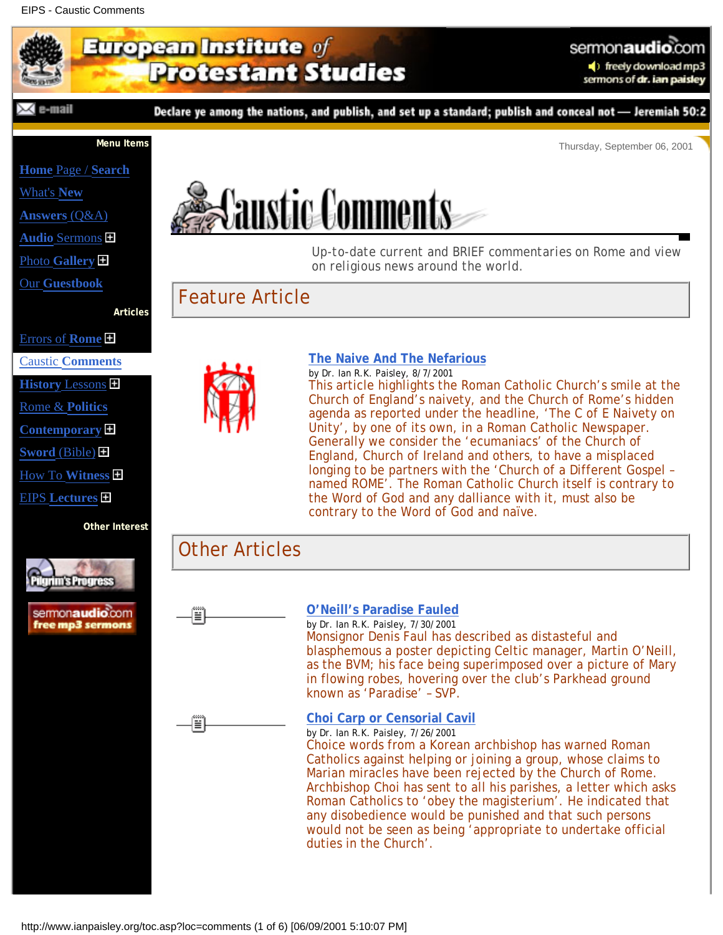## EIPS - Caustic Comments

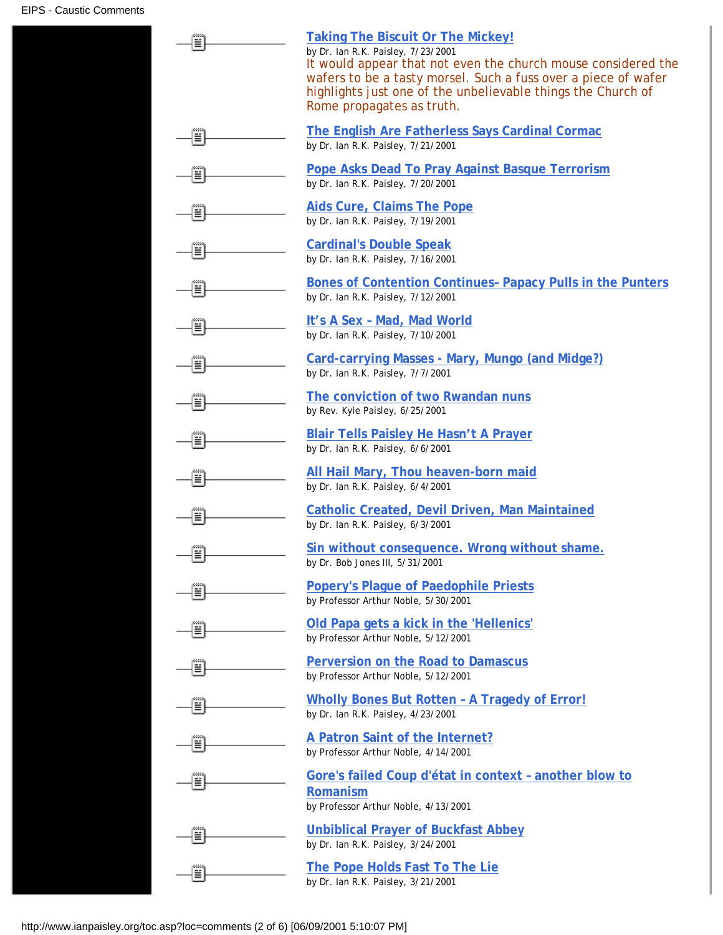| ≣          | <b>Taking The Biscuit Or The Mickey!</b><br>by Dr. Ian R.K. Paisley, 7/23/2001<br>It would appear that not even the church mouse considered the<br>wafers to be a tasty morsel. Such a fuss over a piece of wafer<br>highlights just one of the unbelievable things the Church of<br>Rome propagates as truth. |
|------------|----------------------------------------------------------------------------------------------------------------------------------------------------------------------------------------------------------------------------------------------------------------------------------------------------------------|
| 00000<br>≣ | The English Are Fatherless Says Cardinal Cormac<br>by Dr. Ian R.K. Paisley, 7/21/2001                                                                                                                                                                                                                          |
| ≣          | <b>Pope Asks Dead To Pray Against Basque Terrorism</b><br>by Dr. Ian R.K. Paisley, 7/20/2001                                                                                                                                                                                                                   |
| Ë          | <b>Aids Cure, Claims The Pope</b><br>by Dr. Ian R.K. Paisley, 7/19/2001                                                                                                                                                                                                                                        |
| ▦          | <b>Cardinal's Double Speak</b><br>by Dr. Ian R.K. Paisley, 7/16/2001                                                                                                                                                                                                                                           |
| ≣∣         | Bones of Contention Continues- Papacy Pulls in the Punters<br>by Dr. Ian R.K. Paisley, 7/12/2001                                                                                                                                                                                                               |
| ≣          | It's A Sex - Mad, Mad World<br>by Dr. Ian R.K. Paisley, 7/10/2001                                                                                                                                                                                                                                              |
| 릨          | Card-carrying Masses - Mary, Mungo (and Midge?)<br>by Dr. Ian R.K. Paisley, 7/7/2001                                                                                                                                                                                                                           |
| Ë          | The conviction of two Rwandan nuns<br>by Rev. Kyle Paisley, 6/25/2001                                                                                                                                                                                                                                          |
| Ë          | <b>Blair Tells Paisley He Hasn't A Prayer</b><br>by Dr. Ian R.K. Paisley, 6/6/2001                                                                                                                                                                                                                             |
| Ë          | All Hail Mary, Thou heaven-born maid<br>by Dr. Ian R.K. Paisley, 6/4/2001                                                                                                                                                                                                                                      |
| Ë          | <b>Catholic Created, Devil Driven, Man Maintained</b><br>by Dr. Ian R.K. Paisley, 6/3/2001                                                                                                                                                                                                                     |
| м<br>≣     | Sin without consequence. Wrong without shame.<br>by Dr. Bob Jones III, 5/31/2001                                                                                                                                                                                                                               |
| ≣Î         | <b>Popery's Plague of Paedophile Priests</b><br>by Professor Arthur Noble, 5/30/2001                                                                                                                                                                                                                           |
| ≣          | Old Papa gets a kick in the 'Hellenics'<br>by Professor Arthur Noble, 5/12/2001                                                                                                                                                                                                                                |
| Ë          | Perversion on the Road to Damascus<br>by Professor Arthur Noble, 5/12/2001                                                                                                                                                                                                                                     |
| Ë          | Wholly Bones But Rotten - A Tragedy of Error!<br>by Dr. Ian R.K. Paisley, 4/23/2001                                                                                                                                                                                                                            |
| Ë          | A Patron Saint of the Internet?<br>by Professor Arthur Noble, 4/14/2001                                                                                                                                                                                                                                        |
| ≝          | Gore's failed Coup d'état in context - another blow to<br><b>Romanism</b><br>by Professor Arthur Noble, 4/13/2001                                                                                                                                                                                              |
| ≝          | <b>Unbiblical Prayer of Buckfast Abbey</b><br>by Dr. Ian R.K. Paisley, 3/24/2001                                                                                                                                                                                                                               |
| ≣          | The Pope Holds Fast To The Lie<br>by Dr. Ian R.K. Paisley, 3/21/2001                                                                                                                                                                                                                                           |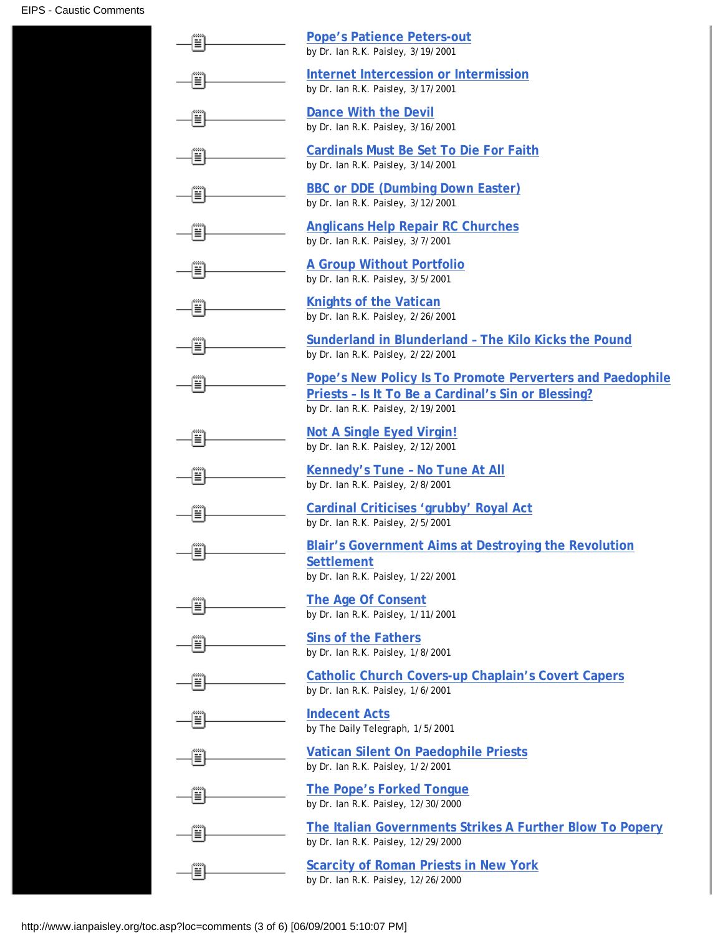| ≣          | <b>Pope's Patience Peters-out</b><br>by Dr. Ian R.K. Paisley, 3/19/2001                                                                                |
|------------|--------------------------------------------------------------------------------------------------------------------------------------------------------|
| ▒          | Internet Intercession or Intermission<br>by Dr. Ian R.K. Paisley, 3/17/2001                                                                            |
| ≣          | <b>Dance With the Devil</b><br>by Dr. Ian R.K. Paisley, 3/16/2001                                                                                      |
| ≣∣         | <b>Cardinals Must Be Set To Die For Faith</b><br>by Dr. Ian R.K. Paisley, 3/14/2001                                                                    |
| Ë          | <b>BBC or DDE (Dumbing Down Easter)</b><br>by Dr. Ian R.K. Paisley, 3/12/2001                                                                          |
| Ë          | <b>Anglicans Help Repair RC Churches</b><br>by Dr. Ian R.K. Paisley, 3/7/2001                                                                          |
| ≣∣         | <b>A Group Without Portfolio</b><br>by Dr. Ian R.K. Paisley, 3/5/2001                                                                                  |
| Ë          | <b>Knights of the Vatican</b><br>by Dr. Ian R.K. Paisley, 2/26/2001                                                                                    |
| ≝          | Sunderland in Blunderland - The Kilo Kicks the Pound<br>by Dr. Ian R.K. Paisley, 2/22/2001                                                             |
| ≣          | Pope's New Policy Is To Promote Perverters and Paedophile<br>Priests - Is It To Be a Cardinal's Sin or Blessing?<br>by Dr. Ian R.K. Paisley, 2/19/2001 |
| ≝          | <b>Not A Single Eyed Virgin!</b><br>by Dr. Ian R.K. Paisley, 2/12/2001                                                                                 |
| Ë          | <b>Kennedy's Tune - No Tune At All</b><br>by Dr. Ian R.K. Paisley, 2/8/2001                                                                            |
| ≣          | Cardinal Criticises 'grubby' Royal Act<br>by Dr. Ian R.K. Paisley, 2/5/2001                                                                            |
| 00000<br>탈 | Blair's Government Aims at Destroying the Revolution<br><b>Settlement</b><br>by Dr. Ian R.K. Paisley, 1/22/2001                                        |
| ≅          | The Age Of Consent<br>by Dr. Ian R.K. Paisley, 1/11/2001                                                                                               |
| ≣          | <b>Sins of the Fathers</b><br>by Dr. Ian R.K. Paisley, 1/8/2001                                                                                        |
| ≝          | <b>Catholic Church Covers-up Chaplain's Covert Capers</b><br>by Dr. Ian R.K. Paisley, 1/6/2001                                                         |
| ≣          | <b>Indecent Acts</b><br>by The Daily Telegraph, 1/5/2001                                                                                               |
| ≣          | <b>Vatican Silent On Paedophile Priests</b><br>by Dr. Ian R.K. Paisley, 1/2/2001                                                                       |
| Ë          | <b>The Pope's Forked Tongue</b><br>by Dr. Ian R.K. Paisley, 12/30/2000                                                                                 |
| ≣          | The Italian Governments Strikes A Further Blow To Popery<br>by Dr. Ian R.K. Paisley, 12/29/2000                                                        |
|            | <b>Scarcity of Roman Priests in New York</b><br>by Dr. Ian R.K. Paisley, 12/26/2000                                                                    |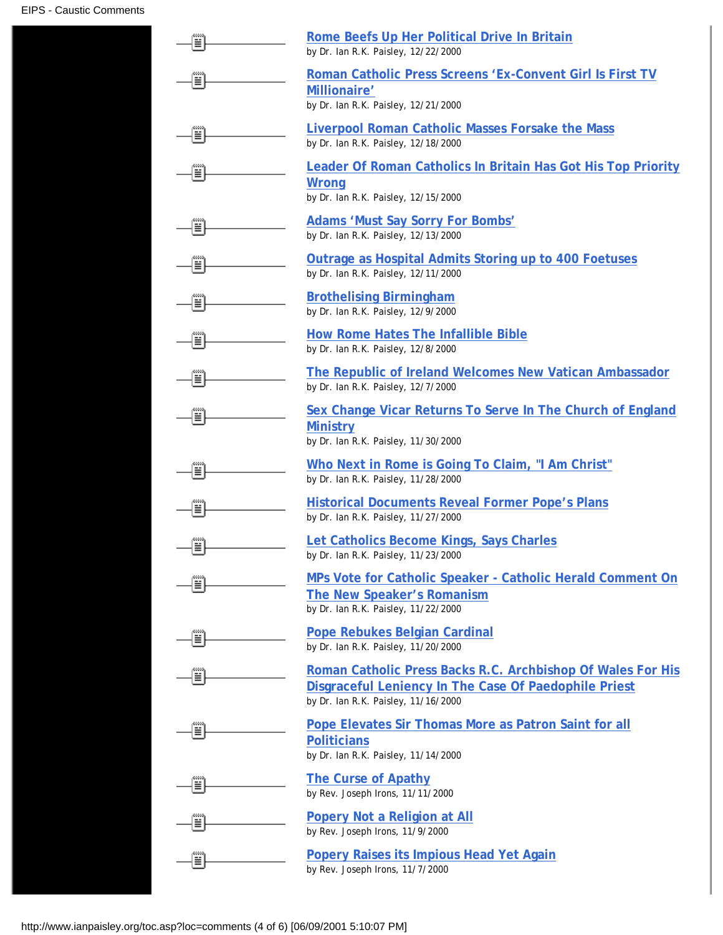|           | Rome Beefs Up Her Political Drive In Britain<br>by Dr. Ian R.K. Paisley, 12/22/2000                                                                         |
|-----------|-------------------------------------------------------------------------------------------------------------------------------------------------------------|
| ≝         | Roman Catholic Press Screens 'Ex-Convent Girl Is First TV<br>Millionaire'<br>by Dr. Ian R.K. Paisley, 12/21/2000                                            |
|           | <b>Liverpool Roman Catholic Masses Forsake the Mass</b><br>by Dr. Ian R.K. Paisley, 12/18/2000                                                              |
|           | <b>Leader Of Roman Catholics In Britain Has Got His Top Priority</b><br><b>Wrong</b><br>by Dr. Ian R.K. Paisley, 12/15/2000                                 |
|           | <b>Adams 'Must Say Sorry For Bombs'</b><br>by Dr. Ian R.K. Paisley, 12/13/2000                                                                              |
| ≣         | <b>Outrage as Hospital Admits Storing up to 400 Foetuses</b><br>by Dr. Ian R.K. Paisley, 12/11/2000                                                         |
| ≣         | <b>Brothelising Birmingham</b><br>by Dr. Ian R.K. Paisley, 12/9/2000                                                                                        |
| ≝         | <b>How Rome Hates The Infallible Bible</b><br>by Dr. Ian R.K. Paisley, 12/8/2000                                                                            |
| ≝         | The Republic of Ireland Welcomes New Vatican Ambassador<br>by Dr. Ian R.K. Paisley, 12/7/2000                                                               |
| ≣         | Sex Change Vicar Returns To Serve In The Church of England<br><b>Ministry</b><br>by Dr. Ian R.K. Paisley, 11/30/2000                                        |
|           | Who Next in Rome is Going To Claim, "I Am Christ"<br>by Dr. Ian R.K. Paisley, 11/28/2000                                                                    |
|           | <b>Historical Documents Reveal Former Pope's Plans</b><br>by Dr. Ian R.K. Paisley, 11/27/2000                                                               |
| aaaa<br>≝ | Let Catholics Become Kings, Says Charles<br>by Dr. Ian R.K. Paisley, 11/23/2000                                                                             |
|           | MPs Vote for Catholic Speaker - Catholic Herald Comment On<br>The New Speaker's Romanism<br>by Dr. Ian R.K. Paisley, 11/22/2000                             |
|           | <b>Pope Rebukes Belgian Cardinal</b><br>by Dr. Ian R.K. Paisley, 11/20/2000                                                                                 |
|           | Roman Catholic Press Backs R.C. Archbishop Of Wales For His<br>Disgraceful Leniency In The Case Of Paedophile Priest<br>by Dr. Ian R.K. Paisley, 11/16/2000 |
|           | Pope Elevates Sir Thomas More as Patron Saint for all<br><b>Politicians</b><br>by Dr. Ian R.K. Paisley, 11/14/2000                                          |
|           | <b>The Curse of Apathy</b><br>by Rev. Joseph Irons, 11/11/2000                                                                                              |
|           | <b>Popery Not a Religion at All</b><br>by Rev. Joseph Irons, 11/9/2000                                                                                      |
|           | <b>Popery Raises its Impious Head Yet Again</b><br>by Rev. Joseph Irons, 11/7/2000                                                                          |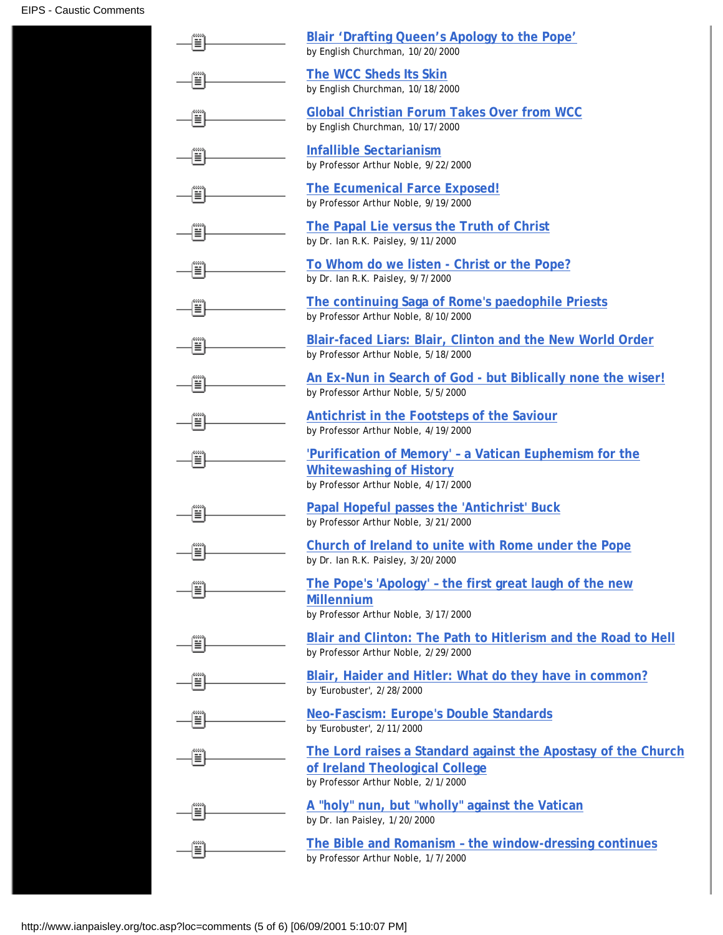|    | Blair 'Drafting Queen's Apology to the Pope'<br>by English Churchman, 10/20/2000                                                       |
|----|----------------------------------------------------------------------------------------------------------------------------------------|
| ≣  | The WCC Sheds Its Skin<br>by English Churchman, 10/18/2000                                                                             |
| 틬  | <b>Global Christian Forum Takes Over from WCC</b><br>by English Churchman, 10/17/2000                                                  |
|    | <b>Infallible Sectarianism</b><br>by Professor Arthur Noble, 9/22/2000                                                                 |
| ≣∣ | <b>The Ecumenical Farce Exposed!</b><br>by Professor Arthur Noble, 9/19/2000                                                           |
| ≣∣ | The Papal Lie versus the Truth of Christ<br>by Dr. Ian R.K. Paisley, 9/11/2000                                                         |
| ≣∣ | To Whom do we listen - Christ or the Pope?<br>by Dr. Ian R.K. Paisley, 9/7/2000                                                        |
| ≣  | The continuing Saga of Rome's paedophile Priests<br>by Professor Arthur Noble, 8/10/2000                                               |
| ≣∣ | Blair-faced Liars: Blair, Clinton and the New World Order<br>by Professor Arthur Noble, 5/18/2000                                      |
| ▦  | An Ex-Nun in Search of God - but Biblically none the wiser!<br>by Professor Arthur Noble, 5/5/2000                                     |
| ≣  | Antichrist in the Footsteps of the Saviour<br>by Professor Arthur Noble, 4/19/2000                                                     |
| ≣  | 'Purification of Memory' - a Vatican Euphemism for the<br><b>Whitewashing of History</b><br>by Professor Arthur Noble, 4/17/2000       |
| Ĩ  | Papal Hopeful passes the 'Antichrist' Buck<br>by Professor Arthur Noble, 3/21/2000                                                     |
| ij | Church of Ireland to unite with Rome under the Pope<br>by Dr. Ian R.K. Paisley, 3/20/2000                                              |
|    | The Pope's 'Apology' - the first great laugh of the new<br><b>Millennium</b><br>by Professor Arthur Noble, 3/17/2000                   |
| ≣∣ | Blair and Clinton: The Path to Hitlerism and the Road to Hell<br>by Professor Arthur Noble, 2/29/2000                                  |
| ≣∣ | Blair, Haider and Hitler: What do they have in common?<br>by 'Eurobuster', 2/28/2000                                                   |
| ≣∣ | <b>Neo-Fascism: Europe's Double Standards</b><br>by 'Eurobuster', 2/11/2000                                                            |
| ≣∣ | The Lord raises a Standard against the Apostasy of the Church<br>of Ireland Theological College<br>by Professor Arthur Noble, 2/1/2000 |
| ≣∣ | A "holy" nun, but "wholly" against the Vatican<br>by Dr. Ian Paisley, 1/20/2000                                                        |
|    | The Bible and Romanism - the window-dressing continues<br>by Professor Arthur Noble, 1/7/2000                                          |